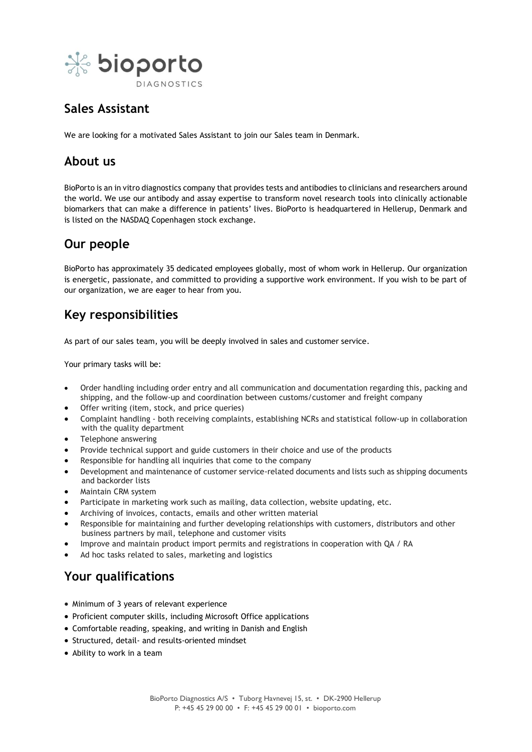

# **Sales Assistant**

We are looking for a motivated Sales Assistant to join our Sales team in Denmark.

### **About us**

BioPorto is an in vitro diagnostics company that provides tests and antibodies to clinicians and researchers around the world. We use our antibody and assay expertise to transform novel research tools into clinically actionable biomarkers that can make a difference in patients' lives. BioPorto is headquartered in Hellerup, Denmark and is listed on the NASDAQ Copenhagen stock exchange.

# **Our people**

BioPorto has approximately 35 dedicated employees globally, most of whom work in Hellerup. Our organization is energetic, passionate, and committed to providing a supportive work environment. If you wish to be part of our organization, we are eager to hear from you.

## **Key responsibilities**

As part of our sales team, you will be deeply involved in sales and customer service.

Your primary tasks will be:

- Order handling including order entry and all communication and documentation regarding this, packing and shipping, and the follow-up and coordination between customs/customer and freight company
- Offer writing (item, stock, and price queries)
- Complaint handling both receiving complaints, establishing NCRs and statistical follow-up in collaboration with the quality department
- Telephone answering
- Provide technical support and guide customers in their choice and use of the products
- Responsible for handling all inquiries that come to the company
- Development and maintenance of customer service-related documents and lists such as shipping documents and backorder lists
- Maintain CRM system
- Participate in marketing work such as mailing, data collection, website updating, etc.
- Archiving of invoices, contacts, emails and other written material
- Responsible for maintaining and further developing relationships with customers, distributors and other business partners by mail, telephone and customer visits
- Improve and maintain product import permits and registrations in cooperation with QA / RA
- Ad hoc tasks related to sales, marketing and logistics

## **Your qualifications**

- Minimum of 3 years of relevant experience
- Proficient computer skills, including Microsoft Office applications
- Comfortable reading, speaking, and writing in Danish and English
- Structured, detail- and results-oriented mindset
- Ability to work in a team